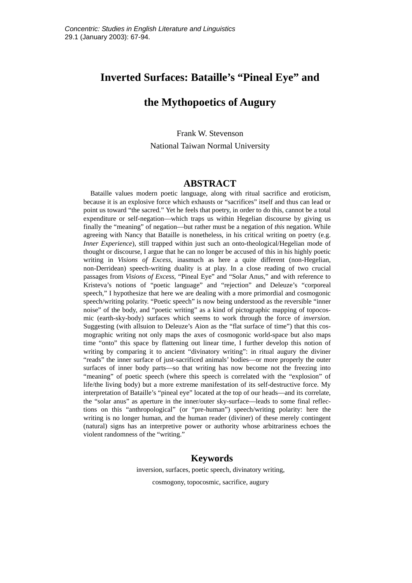### **Inverted Surfaces: Bataille's "Pineal Eye" and**

# **the Mythopoetics of Augury**

Frank W. Stevenson National Taiwan Normal University

### **ABSTRACT**

Bataille values modern poetic language, along with ritual sacrifice and eroticism, because it is an explosive force which exhausts or "sacrifices" itself and thus can lead or point us toward "the sacred." Yet he feels that poetry, in order to do this, cannot be a total expenditure or self-negation—which traps us within Hegelian discourse by giving us finally the "meaning" of negation—but rather must be a negation of *this* negation. While agreeing with Nancy that Bataille is nonetheless, in his critical writing on poetry (e.g. *Inner Experience*), still trapped within just such an onto-theological/Hegelian mode of thought or discourse, I argue that he can no longer be accused of this in his highly poetic writing in *Visions of Excess*, inasmuch as here a quite different (non-Hegelian, non-Derridean) speech-writing duality is at play. In a close reading of two crucial passages from *Visions of Excess*, "Pineal Eye" and "Solar Anus," and with reference to Kristeva's notions of "poetic language" and "rejection" and Deleuze's "corporeal speech," I hypothesize that here we are dealing with a more primordial and cosmogonic speech/writing polarity. "Poetic speech" is now being understood as the reversible "inner noise" of the body, and "poetic writing" as a kind of pictographic mapping of topocosmic (earth-sky-body) surfaces which seems to work through the force of *inversion*. Suggesting (with allsuion to Deleuze's Aion as the "flat surface of time") that this cosmographic writing not only maps the axes of cosmogonic world-space but also maps time "onto" this space by flattening out linear time, I further develop this notion of writing by comparing it to ancient "divinatory writing": in ritual augury the diviner "reads" the inner surface of just-sacrificed animals' bodies—or more properly the outer surfaces of inner body parts—so that writing has now become not the freezing into "meaning" of poetic speech (where this speech is correlated with the "explosion" of life/the living body) but a more extreme manifestation of its self-destructive force. My interpretation of Bataille's "pineal eye" located at the top of our heads—and its correlate, the "solar anus" as aperture in the inner/outer sky-surface—leads to some final reflections on this "anthropological" (or "pre-human") speech/writing polarity: here the writing is no longer human, and the human reader (diviner) of these merely contingent (natural) signs has an interpretive power or authority whose arbitrariness echoes the violent randomness of the "writing."

### **Keywords**

inversion, surfaces, poetic speech, divinatory writing,

cosmogony, topocosmic, sacrifice, augury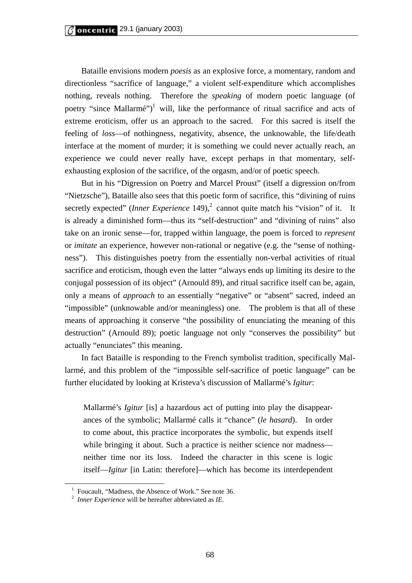Bataille envisions modern *poesis* as an explosive force, a momentary, random and directionless "sacrifice of language," a violent self-expenditure which accomplishes nothing, reveals nothing. Therefore the *speaking* of modern poetic language (of poetry "since Mallarmé")<sup>1</sup> will, like the performance of ritual sacrifice and acts of extreme eroticism, offer us an approach to the sacred. For this sacred is itself the feeling of *loss*—of nothingness, negativity, absence, the unknowable, the life/death interface at the moment of murder; it is something we could never actually reach, an experience we could never really have, except perhaps in that momentary, selfexhausting explosion of the sacrifice, of the orgasm, and/or of poetic speech.

 But in his "Digression on Poetry and Marcel Proust" (itself a digression on/from "Nietzsche"), Bataille also sees that this poetic form of sacrifice, this "divining of ruins secretly expected" (*Inner Experience* 149),<sup>2</sup> cannot quite match his "vision" of it. It is already a diminished form—thus its "self-destruction" and "divining of ruins" also take on an ironic sense—for, trapped within language, the poem is forced to *represent* or *imitate* an experience, however non-rational or negative (e.g. the "sense of nothingness"). This distinguishes poetry from the essentially non-verbal activities of ritual sacrifice and eroticism, though even the latter "always ends up limiting its desire to the conjugal possession of its object" (Arnould 89), and ritual sacrifice itself can be, again, only a means of *approach* to an essentially "negative" or "absent" sacred, indeed an "impossible" (unknowable and/or meaningless) one. The problem is that all of these means of approaching it conserve "the possibility of enunciating the meaning of this destruction" (Arnould 89); poetic language not only "conserves the possibility" but actually "enunciates" this meaning.

In fact Bataille is responding to the French symbolist tradition, specifically Mallarmé, and this problem of the "impossible self-sacrifice of poetic language" can be further elucidated by looking at Kristeva's discussion of Mallarmé's *Igitur*:

Mallarmé's *Igitur* [is] a hazardous act of putting into play the disappearances of the symbolic; Mallarmé calls it "chance" (*le hasard*). In order to come about, this practice incorporates the symbolic, but expends itself while bringing it about. Such a practice is neither science nor madness neither time nor its loss. Indeed the character in this scene is logic itself—*Igitur* [in Latin: therefore]—which has become its interdependent

 <sup>1</sup> Foucault, "Madness, the Absence of Work." See note 36.

<sup>2</sup> *Inner Experience* will be hereafter abbreviated as *IE*.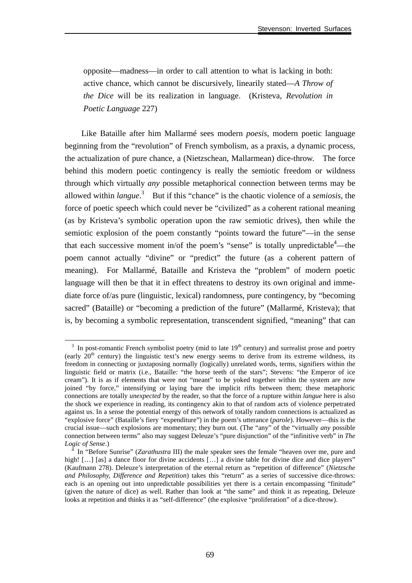opposite—madness—in order to call attention to what is lacking in both: active chance, which cannot be discursively, linearily stated—*A Throw of the Dice* will be its realization in language. (Kristeva, *Revolution in Poetic Language* 227)

Like Bataille after him Mallarmé sees modern *poesis*, modern poetic language beginning from the "revolution" of French symbolism, as a praxis, a dynamic process, the actualization of pure chance, a (Nietzschean, Mallarmean) dice-throw. The force behind this modern poetic contingency is really the semiotic freedom or wildness through which virtually *any* possible metaphorical connection between terms may be allowed within *langue*. 3 But if this "chance" is the chaotic violence of a *semiosis*, the force of poetic speech which could never be "civilized" as a coherent rational meaning (as by Kristeva's symbolic operation upon the raw semiotic drives), then while the semiotic explosion of the poem constantly "points toward the future"—in the sense that each successive moment in/of the poem's "sense" is totally unpredictable  $4$ —the poem cannot actually "divine" or "predict" the future (as a coherent pattern of meaning). For Mallarmé, Bataille and Kristeva the "problem" of modern poetic language will then be that it in effect threatens to destroy its own original and immediate force of/as pure (linguistic, lexical) randomness, pure contingency, by "becoming sacred" (Bataille) or "becoming a prediction of the future" (Mallarmé, Kristeva); that is, by becoming a symbolic representation, transcendent signified, "meaning" that can

<sup>&</sup>lt;sup>3</sup> In post-romantic French symbolist poetry (mid to late 19<sup>th</sup> century) and surrealist prose and poetry (early  $20<sup>th</sup>$  century) the linguistic text's new energy seems to derive from its extreme wildness, its freedom in connecting or juxtaposing normally (logically) unrelated words, terms, signifiers within the linguistic field or matrix (i.e., Bataille: "the horse teeth of the stars"; Stevens: "the Emperor of ice cream"). It is as if elements that were not "meant" to be yoked together within the system are now joined "by force," intensifying or laying bare the implicit rifts between them; these metaphoric connections are totally *unexpected* by the reader, so that the force of a rupture within *langue* here is also the shock we experience in reading, its contingency akin to that of random acts of violence perpetrated against us. In a sense the potential energy of this network of totally random connections is actualized as "explosive force" (Bataille's fiery "expenditure") in the poem's utterance (*parole*). However—this is the crucial issue—such explosions are momentary; they burn out. (The "any" of the "virtually *any* possible connection between terms" also may suggest Deleuze's "pure disjunction" of the "infinitive verb" in *The*  Logic of Sense.)

In "Before Sunrise" (*Zarathustra* III) the male speaker sees the female "heaven over me, pure and high! [...] [as] a dance floor for divine accidents [...] a divine table for divine dice and dice players" (Kaufmann 278). Deleuze's interpretation of the eternal return as "repetition of difference" (*Nietzsche and Philosophy, Difference and Repetition*) takes this "return" as a series of successive dice-throws: each is an opening out into unpredictable possibilities yet there is a certain encompassing "finitude" (given the nature of dice) as well. Rather than look at "the same" and think it as repeating, Deleuze looks at repetition and thinks it as "self-difference" (the explosive "proliferation" of a dice-throw).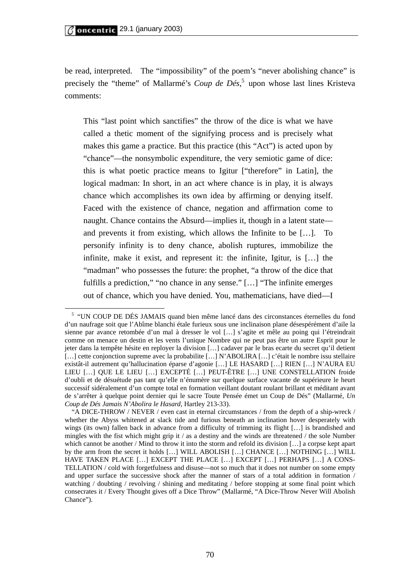be read, interpreted. The "impossibility" of the poem's "never abolishing chance" is precisely the "theme" of Mallarmé's *Coup de Dés*, 5 upon whose last lines Kristeva comments:

This "last point which sanctifies" the throw of the dice is what we have called a thetic moment of the signifying process and is precisely what makes this game a practice. But this practice (this "Act") is acted upon by "chance"—the nonsymbolic expenditure, the very semiotic game of dice: this is what poetic practice means to Igitur ["therefore" in Latin], the logical madman: In short, in an act where chance is in play, it is always chance which accomplishes its own idea by affirming or denying itself. Faced with the existence of chance, negation and affirmation come to naught. Chance contains the Absurd—implies it, though in a latent state and prevents it from existing, which allows the Infinite to be […]. To personify infinity is to deny chance, abolish ruptures, immobilize the infinite, make it exist, and represent it: the infinite, Igitur, is […] the "madman" who possesses the future: the prophet, "a throw of the dice that fulfills a prediction," "no chance in any sense." […] "The infinite emerges out of chance, which you have denied. You, mathematicians, have died—I

<sup>&</sup>lt;sup>5</sup> "UN COUP DE DÉS JAMAIS quand bien même lancé dans des circonstances éternelles du fond d'un naufrage soit que l'Abîme blanchi étale furieux sous une inclinaison plane désespérément d'aile la sienne par avance retombée d'un mal à dresser le vol […] s'agite et mêle au poing qui l'étreindrait comme on menace un destin et les vents l'unique Nombre qui ne peut pas être un autre Esprit pour le jeter dans la tempête hésite en reployer la division […] cadaver par le bras ecarte du secret qu'il detient [...] cette conjonction supreme avec la probabilite [...] N'ABOLIRA [...] c'était le nombre issu stellaire existât-il autrement qu'hallucination éparse d'agonie […] LE HASARD […] RIEN […] N'AURA EU LIEU […] QUE LE LIEU […] EXCEPTÉ […] PEUT-ÊTRE […] UNE CONSTELLATION froide d'oubli et de désuétude pas tant qu'elle n'énumère sur quelque surface vacante de supérieure le heurt successif sidéralement d'un compte total en formation veillant doutant roulant brillant et méditant avant de s'arrêter à quelque point dernier qui le sacre Toute Pensée émet un Coup de Dés" (Mallarmé, *Un Coup de Dés Jamais N'Abolira le Hasard*, Hartley 213-33).

<sup>&</sup>quot;A DICE-THROW / NEVER / even cast in eternal circumstances / from the depth of a ship-wreck / whether the Abyss whitened at slack tide and furious beneath an inclination hover desperately with wings (its own) fallen back in advance from a difficulty of trimming its flight [...] is brandished and mingles with the fist which might grip it / as a destiny and the winds are threatened / the sole Number which cannot be another / Mind to throw it into the storm and refold its division [...] a corpse kept apart by the arm from the secret it holds […] WILL ABOLISH […] CHANCE […] NOTHING […] WILL HAVE TAKEN PLACE […] EXCEPT THE PLACE […] EXCEPT […] PERHAPS […] A CONS-TELLATION / cold with forgetfulness and disuse—not so much that it does not number on some empty and upper surface the successive shock after the manner of stars of a total addition in formation / watching / doubting / revolving / shining and meditating / before stopping at some final point which consecrates it / Every Thought gives off a Dice Throw" (Mallarmé, "A Dice-Throw Never Will Abolish Chance").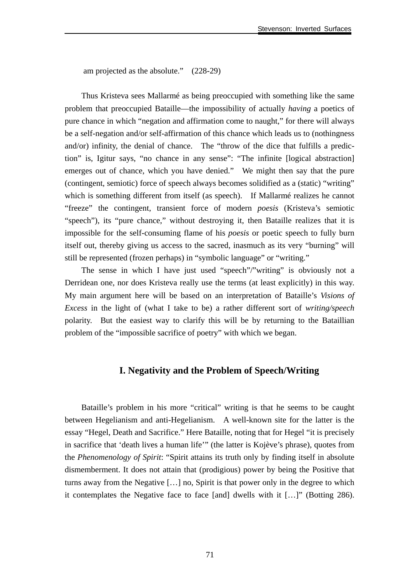am projected as the absolute." (228-29)

Thus Kristeva sees Mallarmé as being preoccupied with something like the same problem that preoccupied Bataille—the impossibility of actually *having* a poetics of pure chance in which "negation and affirmation come to naught," for there will always be a self-negation and/or self-affirmation of this chance which leads us to (nothingness and/or) infinity, the denial of chance. The "throw of the dice that fulfills a prediction" is, Igitur says, "no chance in any sense": "The infinite [logical abstraction] emerges out of chance, which you have denied." We might then say that the pure (contingent, semiotic) force of speech always becomes solidified as a (static) "writing" which is something different from itself (as speech). If Mallarmé realizes he cannot "freeze" the contingent, transient force of modern *poesis* (Kristeva's semiotic "speech"), its "pure chance," without destroying it, then Bataille realizes that it is impossible for the self-consuming flame of his *poesis* or poetic speech to fully burn itself out, thereby giving us access to the sacred, inasmuch as its very "burning" will still be represented (frozen perhaps) in "symbolic language" or "writing."

The sense in which I have just used "speech"/"writing" is obviously not a Derridean one, nor does Kristeva really use the terms (at least explicitly) in this way. My main argument here will be based on an interpretation of Bataille's *Visions of Excess* in the light of (what I take to be) a rather different sort of *writing/speech*  polarity. But the easiest way to clarify this will be by returning to the Bataillian problem of the "impossible sacrifice of poetry" with which we began.

### **I. Negativity and the Problem of Speech/Writing**

Bataille's problem in his more "critical" writing is that he seems to be caught between Hegelianism and anti-Hegelianism. A well-known site for the latter is the essay "Hegel, Death and Sacrifice." Here Bataille, noting that for Hegel "it is precisely in sacrifice that 'death lives a human life'" (the latter is Kojève's phrase), quotes from the *Phenomenology of Spirit*: "Spirit attains its truth only by finding itself in absolute dismemberment. It does not attain that (prodigious) power by being the Positive that turns away from the Negative […] no, Spirit is that power only in the degree to which it contemplates the Negative face to face [and] dwells with it […]" (Botting 286).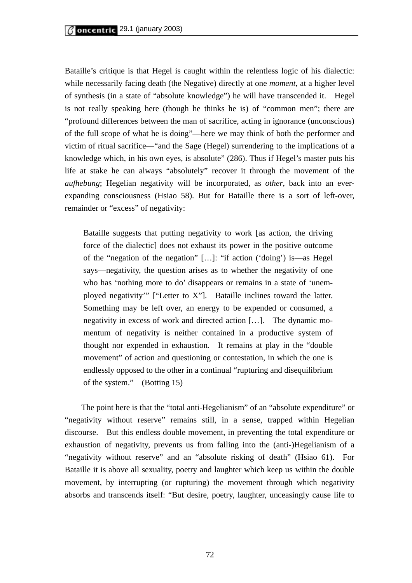Bataille's critique is that Hegel is caught within the relentless logic of his dialectic: while necessarily facing death (the Negative) directly at one *moment*, at a higher level of synthesis (in a state of "absolute knowledge") he will have transcended it. Hegel is not really speaking here (though he thinks he is) of "common men"; there are "profound differences between the man of sacrifice, acting in ignorance (unconscious) of the full scope of what he is doing"—here we may think of both the performer and victim of ritual sacrifice—"and the Sage (Hegel) surrendering to the implications of a knowledge which, in his own eyes, is absolute" (286). Thus if Hegel's master puts his life at stake he can always "absolutely" recover it through the movement of the *aufhebung*; Hegelian negativity will be incorporated, as *other*, back into an everexpanding consciousness (Hsiao 58). But for Bataille there is a sort of left-over, remainder or "excess" of negativity:

Bataille suggests that putting negativity to work [as action, the driving force of the dialectic] does not exhaust its power in the positive outcome of the "negation of the negation" […]: "if action ('doing') is—as Hegel says—negativity, the question arises as to whether the negativity of one who has 'nothing more to do' disappears or remains in a state of 'unemployed negativity'" ["Letter to X"]. Bataille inclines toward the latter. Something may be left over, an energy to be expended or consumed, a negativity in excess of work and directed action […]. The dynamic momentum of negativity is neither contained in a productive system of thought nor expended in exhaustion. It remains at play in the "double movement" of action and questioning or contestation, in which the one is endlessly opposed to the other in a continual "rupturing and disequilibrium of the system." (Botting 15)

The point here is that the "total anti-Hegelianism" of an "absolute expenditure" or "negativity without reserve" remains still, in a sense, trapped within Hegelian discourse. But this endless double movement, in preventing the total expenditure or exhaustion of negativity, prevents us from falling into the (anti-)Hegelianism of a "negativity without reserve" and an "absolute risking of death" (Hsiao 61). For Bataille it is above all sexuality, poetry and laughter which keep us within the double movement, by interrupting (or rupturing) the movement through which negativity absorbs and transcends itself: "But desire, poetry, laughter, unceasingly cause life to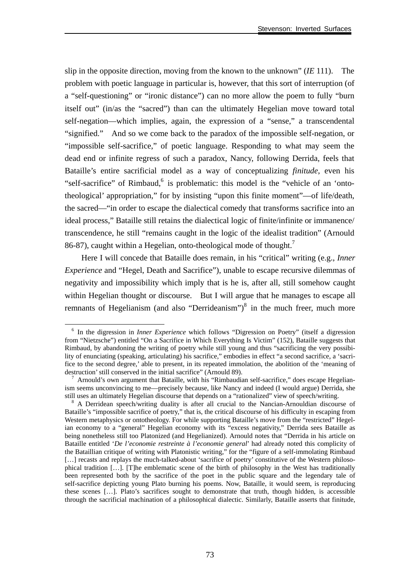slip in the opposite direction, moving from the known to the unknown" (*IE* 111). The problem with poetic language in particular is, however, that this sort of interruption (of a "self-questioning" or "ironic distance") can no more allow the poem to fully "burn itself out" (in/as the "sacred") than can the ultimately Hegelian move toward total self-negation—which implies, again, the expression of a "sense," a transcendental "signified." And so we come back to the paradox of the impossible self-negation, or "impossible self-sacrifice," of poetic language. Responding to what may seem the dead end or infinite regress of such a paradox, Nancy, following Derrida, feels that Bataille's entire sacrificial model as a way of conceptualizing *finitude*, even his "self-sacrifice" of Rimbaud,<sup>6</sup> is problematic: this model is the "vehicle of an 'ontotheological' appropriation," for by insisting "upon this finite moment"—of life/death, the sacred—"in order to escape the dialectical comedy that transforms sacrifice into an ideal process," Bataille still retains the dialectical logic of finite/infinite or immanence/ transcendence, he still "remains caught in the logic of the idealist tradition" (Arnould 86-87), caught within a Hegelian, onto-theological mode of thought.<sup>7</sup>

Here I will concede that Bataille does remain, in his "critical" writing (e.g., *Inner Experience* and "Hegel, Death and Sacrifice"), unable to escape recursive dilemmas of negativity and impossibility which imply that is he is, after all, still somehow caught within Hegelian thought or discourse. But I will argue that he manages to escape all remnants of Hegelianism (and also "Derrideanism") $\delta$  in the much freer, much more

 <sup>6</sup> In the digression in *Inner Experience* which follows "Digression on Poetry" (itself a digression from "Nietzsche") entitled "On a Sacrifice in Which Everything Is Victim" (152), Bataille suggests that Rimbaud, by abandoning the writing of poetry while still young and thus "sacrificing the very possibility of enunciating (speaking, articulating) his sacrifice," embodies in effect "a second sacrifice, a 'sacrifice to the second degree,' able to present, in its repeated immolation, the abolition of the 'meaning of destruction' still conserved in the initial sacrifice" (Arnould 89).

 $7$  Arnould's own argument that Bataille, with his "Rimbaudian self-sacrifice," does escape Hegelianism seems unconvincing to me—precisely because, like Nancy and indeed (I would argue) Derrida, she still uses an ultimately Hegelian discourse that depends on a "rationalized" view of speech/writing. 8

<sup>&</sup>lt;sup>8</sup> A Derridean speech/writing duality is after all crucial to the Nancian-Arnouldian discourse of Bataille's "impossible sacrifice of poetry," that is, the critical discourse of his difficulty in escaping from Western metaphysics or ontotheology. For while supporting Bataille's move from the "restricted" Hegelian economy to a "general" Hegelian economy with its "excess negativity," Derrida sees Bataille as being nonetheless still too Platonized (and Hegelianized). Arnould notes that "Derrida in his article on Bataille entitled '*De l'economie restreinte à l'economie general*' had already noted this complicity of the Bataillian critique of writing with Platonistic writing," for the "figure of a self-immolating Rimbaud [...] recasts and replays the much-talked-about 'sacrifice of poetry' constitutive of the Western philosophical tradition […]. [T]he emblematic scene of the birth of philosophy in the West has traditionally been represented both by the sacrifice of the poet in the public square and the legendary tale of self-sacrifice depicting young Plato burning his poems. Now, Bataille, it would seem, is reproducing these scenes […]. Plato's sacrifices sought to demonstrate that truth, though hidden, is accessible through the sacrificial machination of a philosophical dialectic. Similarly, Bataille asserts that finitude,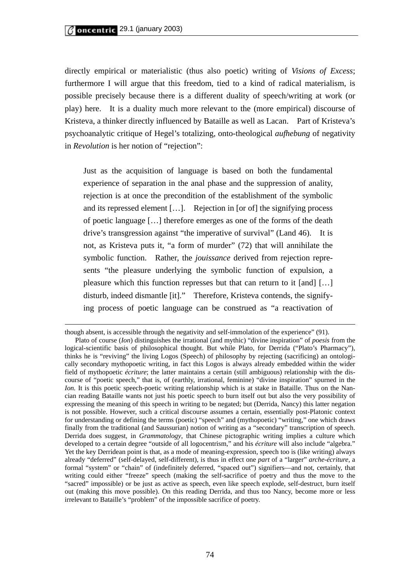directly empirical or materialistic (thus also poetic) writing of *Visions of Excess*; furthermore I will argue that this freedom, tied to a kind of radical materialism, is possible precisely because there is a different duality of speech/writing at work (or play) here. It is a duality much more relevant to the (more empirical) discourse of Kristeva, a thinker directly influenced by Bataille as well as Lacan. Part of Kristeva's psychoanalytic critique of Hegel's totalizing, onto-theological *aufhebung* of negativity in *Revolution* is her notion of "rejection":

Just as the acquisition of language is based on both the fundamental experience of separation in the anal phase and the suppression of anality, rejection is at once the precondition of the establishment of the symbolic and its repressed element […]. Rejection in [or of] the signifying process of poetic language […] therefore emerges as one of the forms of the death drive's transgression against "the imperative of survival" (Land 46). It is not, as Kristeva puts it, "a form of murder" (72) that will annihilate the symbolic function. Rather, the *jouissance* derived from rejection represents "the pleasure underlying the symbolic function of expulsion, a pleasure which this function represses but that can return to it [and] […] disturb, indeed dismantle [it]." Therefore, Kristeva contends, the signifying process of poetic language can be construed as "a reactivation of

though absent, is accessible through the negativity and self-immolation of the experience" (91). Plato of course (*Ion*) distinguishes the irrational (and mythic) "divine inspiration" of *poesis* from the logical-scientific basis of philosophical thought. But while Plato, for Derrida ("Plato's Pharmacy"), thinks he is "reviving" the living Logos (Speech) of philosophy by rejecting (sacrificing) an ontologically secondary mythopoetic writing, in fact this Logos is always already embedded within the wider field of mythopoetic *écriture*; the latter maintains a certain (still ambiguous) relationship with the discourse of "poetic speech," that is, of (earthly, irrational, feminine) "divine inspiration" spurned in the *Ion.* It is this poetic speech-poetic writing relationship which is at stake in Bataille. Thus on the Nancian reading Bataille wants not just his poetic speech to burn itself out but also the very possibility of expressing the meaning of this speech in writing to be negated; but (Derrida, Nancy) this latter negation is not possible. However, such a critical discourse assumes a certain, essentially post-Platonic context for understanding or defining the terms (poetic) "speech" and (mythopoetic) "writing," one which draws finally from the traditional (and Saussurian) notion of writing as a "secondary" transcription of speech. Derrida does suggest, in *Grammatology*, that Chinese pictographic writing implies a culture which developed to a certain degree "outside of all logocentrism," and his *écriture* will also include "algebra." Yet the key Derridean point is that, as a mode of meaning-expression, speech too is (like writing) always already "deferred" (self-delayed, self-different), is thus in effect one *part* of a "larger" *arche-écriture,* a formal "system" or "chain" of (indefinitely deferred, "spaced out") signifiers—and not, certainly, that writing could either "freeze" speech (making the self-sacrifice of poetry and thus the move to the "sacred" impossible) or be just as active as speech, even like speech explode, self-destruct, burn itself out (making this move possible). On this reading Derrida, and thus too Nancy, become more or less irrelevant to Bataille's "problem" of the impossible sacrifice of poetry.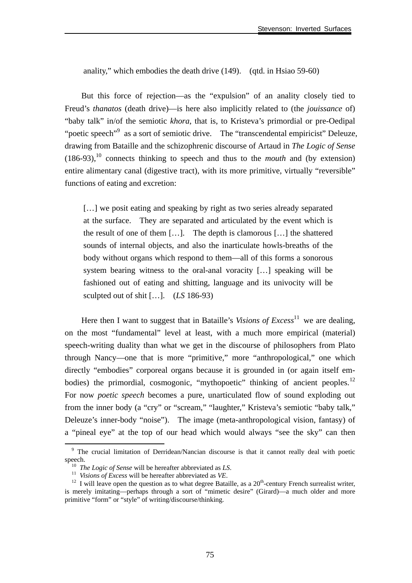anality," which embodies the death drive (149). (qtd. in Hsiao 59-60)

But this force of rejection—as the "expulsion" of an anality closely tied to Freud's *thanatos* (death drive)—is here also implicitly related to (the *jouissance* of) "baby talk" in/of the semiotic *khora*, that is, to Kristeva's primordial or pre-Oedipal "poetic speech"<sup>9</sup> as a sort of semiotic drive. The "transcendental empiricist" Deleuze, drawing from Bataille and the schizophrenic discourse of Artaud in *The Logic of Sense*   $(186-93)$ ,<sup>10</sup> connects thinking to speech and thus to the *mouth* and (by extension) entire alimentary canal (digestive tract), with its more primitive, virtually "reversible" functions of eating and excretion:

[...] we posit eating and speaking by right as two series already separated at the surface. They are separated and articulated by the event which is the result of one of them […]. The depth is clamorous […] the shattered sounds of internal objects, and also the inarticulate howls-breaths of the body without organs which respond to them—all of this forms a sonorous system bearing witness to the oral-anal voracity […] speaking will be fashioned out of eating and shitting, language and its univocity will be sculpted out of shit […]. (*LS* 186-93)

Here then I want to suggest that in Bataille's *Visions of Excess*<sup>11</sup> we are dealing, on the most "fundamental" level at least, with a much more empirical (material) speech-writing duality than what we get in the discourse of philosophers from Plato through Nancy—one that is more "primitive," more "anthropological," one which directly "embodies" corporeal organs because it is grounded in (or again itself embodies) the primordial, cosmogonic, "mythopoetic" thinking of ancient peoples.<sup>12</sup> For now *poetic speech* becomes a pure, unarticulated flow of sound exploding out from the inner body (a "cry" or "scream," "laughter," Kristeva's semiotic "baby talk," Deleuze's inner-body "noise"). The image (meta-anthropological vision, fantasy) of a "pineal eye" at the top of our head which would always "see the sky" can then

<sup>&</sup>lt;sup>9</sup> The crucial limitation of Derridean/Nancian discourse is that it cannot really deal with poetic speech.<br><sup>10</sup> The Logic of Sense will be hereafter abbreviated as LS.<br><sup>11</sup> Visions of Excess will be hereafter abbreviated as VE.<br><sup>12</sup> I will leave open the question as to what degree Bataille, as a 20<sup>th</sup>-century French s

is merely imitating—perhaps through a sort of "mimetic desire" (Girard)—a much older and more primitive "form" or "style" of writing/discourse/thinking.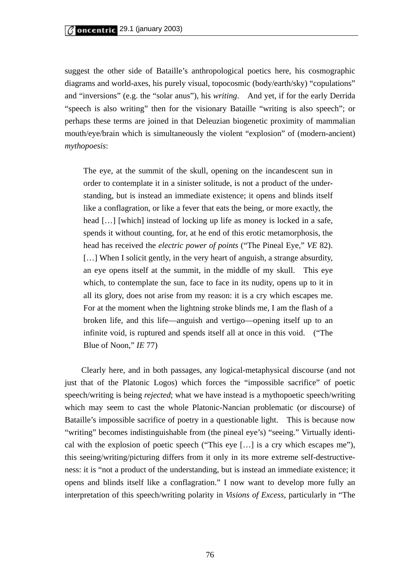suggest the other side of Bataille's anthropological poetics here, his cosmographic diagrams and world-axes, his purely visual, topocosmic (body/earth/sky) "copulations" and "inversions" (e.g. the "solar anus"), his *writing*. And yet, if for the early Derrida "speech is also writing" then for the visionary Bataille "writing is also speech"; or perhaps these terms are joined in that Deleuzian biogenetic proximity of mammalian mouth/eye/brain which is simultaneously the violent "explosion" of (modern-ancient) *mythopoesis*:

The eye, at the summit of the skull, opening on the incandescent sun in order to contemplate it in a sinister solitude, is not a product of the understanding, but is instead an immediate existence; it opens and blinds itself like a conflagration, or like a fever that eats the being, or more exactly, the head [...] [which] instead of locking up life as money is locked in a safe, spends it without counting, for, at he end of this erotic metamorphosis, the head has received the *electric power of points* ("The Pineal Eye," *VE* 82). [...] When I solicit gently, in the very heart of anguish, a strange absurdity, an eye opens itself at the summit, in the middle of my skull. This eye which, to contemplate the sun, face to face in its nudity, opens up to it in all its glory, does not arise from my reason: it is a cry which escapes me. For at the moment when the lightning stroke blinds me, I am the flash of a broken life, and this life—anguish and vertigo—opening itself up to an infinite void, is ruptured and spends itself all at once in this void. ("The Blue of Noon," *IE* 77)

Clearly here, and in both passages, any logical-metaphysical discourse (and not just that of the Platonic Logos) which forces the "impossible sacrifice" of poetic speech/writing is being *rejected*; what we have instead is a mythopoetic speech/writing which may seem to cast the whole Platonic-Nancian problematic (or discourse) of Bataille's impossible sacrifice of poetry in a questionable light. This is because now "writing" becomes indistinguishable from (the pineal eye's) "seeing." Virtually identical with the explosion of poetic speech ("This eye […] is a cry which escapes me"), this seeing/writing/picturing differs from it only in its more extreme self-destructiveness: it is "not a product of the understanding, but is instead an immediate existence; it opens and blinds itself like a conflagration." I now want to develop more fully an interpretation of this speech/writing polarity in *Visions of Excess*, particularly in "The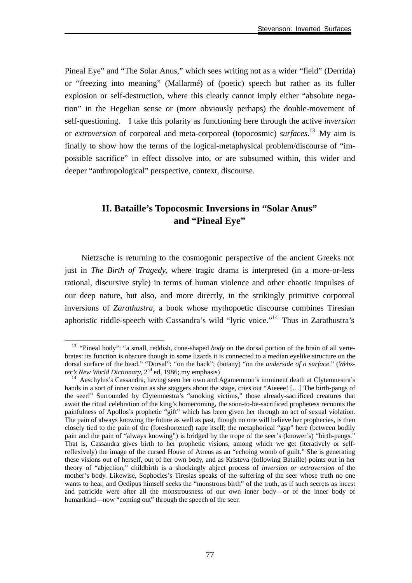Pineal Eye" and "The Solar Anus," which sees writing not as a wider "field" (Derrida) or "freezing into meaning" (Mallarmé) of (poetic) speech but rather as its fuller explosion or self-destruction, where this clearly cannot imply either "absolute negation" in the Hegelian sense or (more obviously perhaps) the double-movement of self-questioning. I take this polarity as functioning here through the active *inversion* or *extroversion* of corporeal and meta-corporeal (topocosmic) *surfaces*. 13 My aim is finally to show how the terms of the logical-metaphysical problem/discourse of "impossible sacrifice" in effect dissolve into, or are subsumed within, this wider and deeper "anthropological" perspective, context, discourse.

## **II. Bataille's Topocosmic Inversions in "Solar Anus" and "Pineal Eye"**

Nietzsche is returning to the cosmogonic perspective of the ancient Greeks not just in *The Birth of Tragedy,* where tragic drama is interpreted (in a more-or-less rational, discursive style) in terms of human violence and other chaotic impulses of our deep nature, but also, and more directly, in the strikingly primitive corporeal inversions of *Zarathustra*, a book whose mythopoetic discourse combines Tiresian aphoristic riddle-speech with Cassandra's wild "lyric voice."14 Thus in Zarathustra's

<sup>&</sup>lt;sup>13</sup> "Pineal body": "a small, reddish, cone-shaped *body* on the dorsal portion of the brain of all vertebrates: its function is obscure though in some lizards it is connected to a median eyelike structure on the dorsal surface of the head." "Dorsal": "on the back"; (botany) "on the *underside of a surface*." (*Webster's New World Dictionary*, 2<sup>nd</sup> ed, 1986; my emphasis)

<sup>&</sup>lt;sup>14</sup> Aeschylus's Cassandra, having seen her own and Agamemnon's imminent death at Clytemnestra's hands in a sort of inner vision as she staggers about the stage, cries out "Aieeee! [...] The birth-pangs of the seer!" Surrounded by Clytemnestra's "smoking victims," those already-sacrificed creatures that await the ritual celebration of the king's homecoming, the soon-to-be-sacrificed prophetess recounts the painfulness of Apollos's prophetic "gift" which has been given her through an act of sexual violation. The pain of always knowing the future as well as past, though no one will believe her prophecies, is then closely tied to the pain of the (foreshortened) rape itself; the metaphorical "gap" here (between bodily pain and the pain of "always knowing") is bridged by the trope of the seer's (knower's) "birth-pangs." That is, Cassandra gives birth to her prophetic visions, among which we get (iteratively or selfreflexively) the image of the cursed House of Atreus as an "echoing womb of guilt." She is generating these visions out of herself, out of her own body, and as Kristeva (following Bataille) point*s* out in her theory of "abjection," childbirth is a shockingly abject process of *inversion or extroversion* of the mother's body. Likewise, Sophocles's Tiresias speaks of the suffering of the seer whose truth no one wants to hear, and Oedipus himself seeks the "monstrous birth" of the truth, as if such secrets as incest and patricide were after all the monstrousness of our own inner body—or of the inner body of humankind—now "coming out" through the speech of the seer.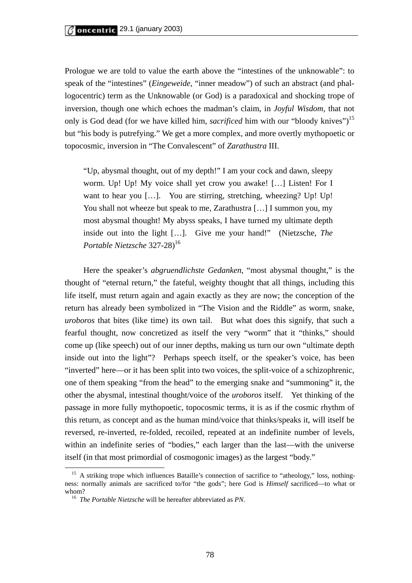Prologue we are told to value the earth above the "intestines of the unknowable": to speak of the "intestines" (*Eingeweide*, "inner meadow") of such an abstract (and phallogocentric) term as the Unknowable (or God) is a paradoxical and shocking trope of inversion, though one which echoes the madman's claim, in *Joyful Wisdom*, that not only is God dead (for we have killed him, *sacrificed* him with our "bloody knives")<sup>15</sup> but "his body is putrefying." We get a more complex, and more overtly mythopoetic or topocosmic, inversion in "The Convalescent" of *Zarathustra* III.

"Up, abysmal thought, out of my depth!" I am your cock and dawn, sleepy worm. Up! Up! My voice shall yet crow you awake! […] Listen! For I want to hear you [...]. You are stirring, stretching, wheezing? Up! Up! You shall not wheeze but speak to me, Zarathustra […] I summon you, my most abysmal thought! My abyss speaks, I have turned my ultimate depth inside out into the light […]. Give me your hand!" (Nietzsche, *The*  Portable Nietzsche 327-28)<sup>16</sup>

Here the speaker's *abgruendlichste Gedanken*, "most abysmal thought," is the thought of "eternal return," the fateful, weighty thought that all things, including this life itself, must return again and again exactly as they are now; the conception of the return has already been symbolized in "The Vision and the Riddle" as worm, snake, *uroboros* that bites (like time) its own tail. But what does this signify, that such a fearful thought, now concretized as itself the very "worm" that it "thinks," should come up (like speech) out of our inner depths, making us turn our own "ultimate depth inside out into the light"? Perhaps speech itself, or the speaker's voice, has been "inverted" here—or it has been split into two voices, the split-voice of a schizophrenic, one of them speaking "from the head" to the emerging snake and "summoning" it, the other the abysmal, intestinal thought/voice of the *uroboros* itself. Yet thinking of the passage in more fully mythopoetic, topocosmic terms, it is as if the cosmic rhythm of this return, as concept and as the human mind/voice that thinks/speaks it, will itself be reversed, re-inverted, re-folded, recoiled, repeated at an indefinite number of levels, within an indefinite series of "bodies," each larger than the last—with the universe itself (in that most primordial of cosmogonic images) as the largest "body."

<sup>&</sup>lt;sup>15</sup> A striking trope which influences Bataille's connection of sacrifice to "atheology," loss, nothingness: normally animals are sacrificed to/for "the gods"; here God is *Himself* sacrificed—to what or whom? 16 *The Portable Nietzsche* will be hereafter abbreviated as *PN*.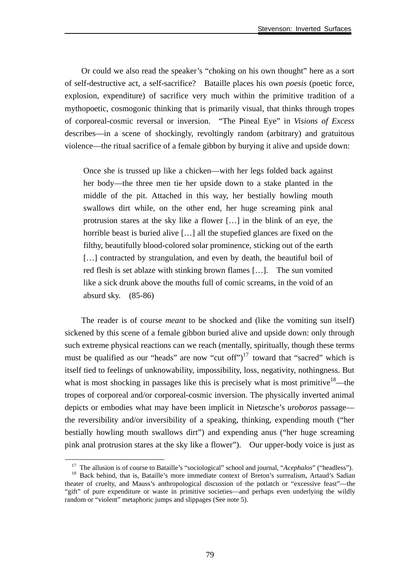Or could we also read the speaker's "choking on his own thought" here as a sort of self-destructive act, a self-sacrifice? Bataille places his own *poesis* (poetic force, explosion, expenditure) of sacrifice very much within the primitive tradition of a mythopoetic, cosmogonic thinking that is primarily visual, that thinks through tropes of corporeal-cosmic reversal or inversion. "The Pineal Eye" in *Visions of Excess*  describes—in a scene of shockingly, revoltingly random (arbitrary) and gratuitous violence—the ritual sacrifice of a female gibbon by burying it alive and upside down:

Once she is trussed up like a chicken—with her legs folded back against her body—the three men tie her upside down to a stake planted in the middle of the pit. Attached in this way, her bestially howling mouth swallows dirt while, on the other end, her huge screaming pink anal protrusion stares at the sky like a flower […] in the blink of an eye, the horrible beast is buried alive […] all the stupefied glances are fixed on the filthy, beautifully blood-colored solar prominence, sticking out of the earth [...] contracted by strangulation, and even by death, the beautiful boil of red flesh is set ablaze with stinking brown flames […]. The sun vomited like a sick drunk above the mouths full of comic screams, in the void of an absurd sky. (85-86)

The reader is of course *meant* to be shocked and (like the vomiting sun itself) sickened by this scene of a female gibbon buried alive and upside down: only through such extreme physical reactions can we reach (mentally, spiritually, though these terms must be qualified as our "heads" are now "cut off") $17$  toward that "sacred" which is itself tied to feelings of unknowability, impossibility, loss, negativity, nothingness. But what is most shocking in passages like this is precisely what is most primitive<sup>18</sup>—the tropes of corporeal and/or corporeal-cosmic inversion. The physically inverted animal depicts or embodies what may have been implicit in Nietzsche's *uroboros* passage the reversibility and/or inversibility of a speaking, thinking, expending mouth ("her bestially howling mouth swallows dirt") and expending anus ("her huge screaming pink anal protrusion stares at the sky like a flower"). Our upper-body voice is just as

<sup>&</sup>lt;sup>17</sup> The allusion is of course to Bataille's "sociological" school and journal, "*Acephalos*" ("headless"). <sup>18</sup> Back behind, that is, Bataille's more immediate context of Breton's surrealism, Artaud's Sadian

theater of cruelty, and Mauss's anthropological discussion of the potlatch or "excessive feast"—the "gift" of pure expenditure or waste in primitive societies—and perhaps even underlying the wildly random or "violent" metaphoric jumps and slippages (See note 5).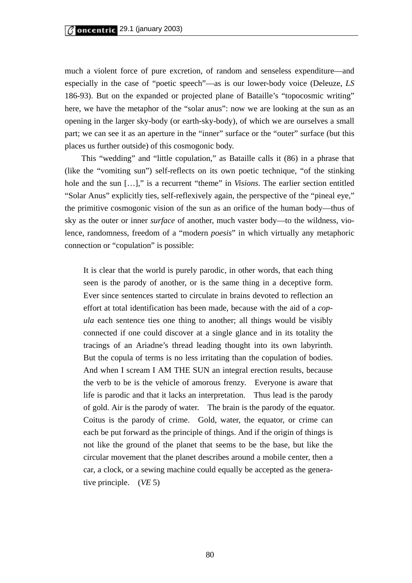much a violent force of pure excretion, of random and senseless expenditure—and especially in the case of "poetic speech"—as is our lower-body voice (Deleuze, *LS* 186-93). But on the expanded or projected plane of Bataille's "topocosmic writing" here, we have the metaphor of the "solar anus": now we are looking at the sun as an opening in the larger sky-body (or earth-sky-body), of which we are ourselves a small part; we can see it as an aperture in the "inner" surface or the "outer" surface (but this places us further outside) of this cosmogonic body.

This "wedding" and "little copulation," as Bataille calls it (86) in a phrase that (like the "vomiting sun") self-reflects on its own poetic technique, "of the stinking hole and the sun […]," is a recurrent "theme" in *Visions*. The earlier section entitled "Solar Anus" explicitly ties, self-reflexively again, the perspective of the "pineal eye," the primitive cosmogonic vision of the sun as an orifice of the human body—thus of sky as the outer or inner *surface* of another, much vaster body—to the wildness, violence, randomness, freedom of a "modern *poesis*" in which virtually any metaphoric connection or "copulation" is possible:

It is clear that the world is purely parodic, in other words, that each thing seen is the parody of another, or is the same thing in a deceptive form. Ever since sentences started to circulate in brains devoted to reflection an effort at total identification has been made, because with the aid of a *copula* each sentence ties one thing to another; all things would be visibly connected if one could discover at a single glance and in its totality the tracings of an Ariadne's thread leading thought into its own labyrinth. But the copula of terms is no less irritating than the copulation of bodies. And when I scream I AM THE SUN an integral erection results, because the verb to be is the vehicle of amorous frenzy. Everyone is aware that life is parodic and that it lacks an interpretation. Thus lead is the parody of gold. Air is the parody of water. The brain is the parody of the equator. Coitus is the parody of crime. Gold, water, the equator, or crime can each be put forward as the principle of things. And if the origin of things is not like the ground of the planet that seems to be the base, but like the circular movement that the planet describes around a mobile center, then a car, a clock, or a sewing machine could equally be accepted as the generative principle. (*VE* 5)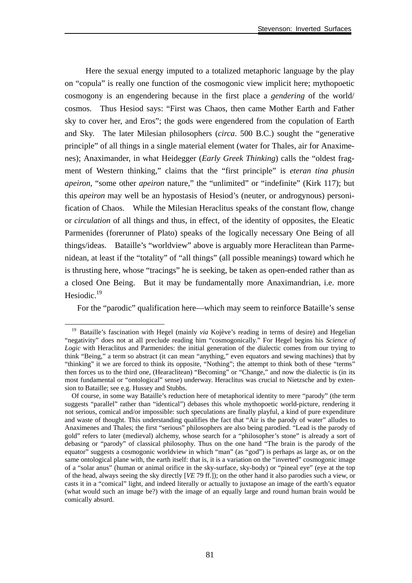Here the sexual energy imputed to a totalized metaphoric language by the play on "copula" is really one function of the cosmogonic view implicit here; mythopoetic cosmogony is an engendering because in the first place a *gendering* of the world/ cosmos. Thus Hesiod says: "First was Chaos, then came Mother Earth and Father sky to cover her, and Eros"; the gods were engendered from the copulation of Earth and Sky. The later Milesian philosophers (*circa*. 500 B.C.) sought the "generative principle" of all things in a single material element (water for Thales, air for Anaximenes); Anaximander, in what Heidegger (*Early Greek Thinking*) calls the "oldest fragment of Western thinking," claims that the "first principle" is *eteran tina phusin apeiron*, "some other *apeiron* nature," the "unlimited" or "indefinite" (Kirk 117); but this *apeiron* may well be an hypostasis of Hesiod's (neuter, or androgynous) personification of Chaos. While the Milesian Heraclitus speaks of the constant flow, change or *circulation* of all things and thus, in effect, of the identity of opposites, the Eleatic Parmenides (forerunner of Plato) speaks of the logically necessary One Being of all things/ideas. Bataille's "worldview" above is arguably more Heraclitean than Parmenidean, at least if the "totality" of "all things" (all possible meanings) toward which he is thrusting here, whose "tracings" he is seeking, be taken as open-ended rather than as a closed One Being. But it may be fundamentally more Anaximandrian, i.e. more Hesiodic.<sup>19</sup>

For the "parodic" qualification here—which may seem to reinforce Bataille's sense

<sup>&</sup>lt;sup>19</sup> Bataille's fascination with Hegel (mainly *via* Kojève's reading in terms of desire) and Hegelian "negativity" does not at all preclude reading him "cosmogonically." For Hegel begins his *Science of Logic* with Heraclitus and Parmenides: the initial generation of the dialectic comes from our trying to think "Being," a term so abstract (it can mean "anything," even equators and sewing machines) that by "thinking" it we are forced to think its opposite, "Nothing"; the attempt to think both of these "terms" then forces us to the third one, (Hearaclitean) "Becoming" or "Change," and now the dialectic is (in its most fundamental or "ontological" sense) underway. Heraclitus was crucial to Nietzsche and by extension to Bataille; see e.g. Hussey and Stubbs.

Of course, in some way Bataille's reduction here of metaphorical identity to mere "parody" (the term suggests "parallel" rather than "identical") debases this whole mythopoetic world-picture, rendering it not serious, comical and/or impossible: such speculations are finally playful, a kind of pure expenditure and waste of thought. This understanding qualifies the fact that "Air is the parody of water" alludes to Anaximenes and Thales; the first "serious" philosophers are also being parodied. "Lead is the parody of gold" refers to later (medieval) alchemy, whose search for a "philosopher's stone" is already a sort of debasing or "parody" of classical philosophy. Thus on the one hand "The brain is the parody of the equator" suggests a cosmogonic worldview in which "man" (as "god") is perhaps as large as, or on the same ontological plane with, the earth itself: that is, it is a variation on the "inverted" cosmogonic image of a "solar anus" (human or animal orifice in the sky-surface, sky-body) or "pineal eye" (eye at the top of the head, always seeing the sky directly [*VE* 79 ff.]); on the other hand it also parodies such a view, or casts it in a "comical" light, and indeed literally or actually to juxtapose an image of the earth's equator (what would such an image be?) with the image of an equally large and round human brain would be comically absurd.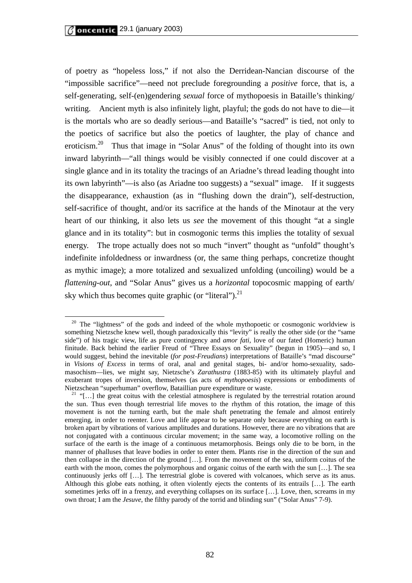of poetry as "hopeless loss," if not also the Derridean-Nancian discourse of the "impossible sacrifice"—need not preclude foregrounding a *positive* force, that is, a self-generating, self-(en)gendering *sexual* force of mythopoesis in Bataille's thinking/ writing. Ancient myth is also infinitely light, playful; the gods do not have to die—it is the mortals who are so deadly serious—and Bataille's "sacred" is tied, not only to the poetics of sacrifice but also the poetics of laughter, the play of chance and eroticism.20 Thus that image in "Solar Anus" of the folding of thought into its own inward labyrinth—"all things would be visibly connected if one could discover at a single glance and in its totality the tracings of an Ariadne's thread leading thought into its own labyrinth"—is also (as Ariadne too suggests) a "sexual" image. If it suggests the disappearance, exhaustion (as in "flushing down the drain"), self-destruction, self-sacrifice of thought, and/or its sacrifice at the hands of the Minotaur at the very heart of our thinking, it also lets us *see* the movement of this thought "at a single glance and in its totality": but in cosmogonic terms this implies the totality of sexual energy. The trope actually does not so much "invert" thought as "unfold" thought's indefinite infoldedness or inwardness (or, the same thing perhaps, concretize thought as mythic image); a more totalized and sexualized unfolding (uncoiling) would be a *flattening-out*, and "Solar Anus" gives us a *horizontal* topocosmic mapping of earth/ sky which thus becomes quite graphic (or "literal"). $^{21}$ 

<sup>&</sup>lt;sup>20</sup> The "lightness" of the gods and indeed of the whole mythopoetic or cosmogonic worldview is something Nietzsche knew well, though paradoxically this "levity" is really the other side (or the "same side") of his tragic view, life as pure contingency and *amor fati*, love of our fated (Homeric) human finitude. Back behind the earlier Freud of "Three Essays on Sexuality" (begun in 1905)—and so, I would suggest, behind the inevitable (*for post-Freudians*) interpretations of Bataille's "mad discourse" in *Visions of Excess* in terms of oral, anal and genital stages, bi- and/or homo-sexuality, sadomasochism—lies, we might say, Nietzsche's *Zarathustra* (1883-85) with its ultimately playful and exuberant tropes of inversion, themselves (as acts of *mythopoesis*) expressions or embodiments of

Nietzschean "superhuman" overflow, Bataillian pure expenditure or waste.<br><sup>21</sup> "[...] the great coitus with the celestial atmosphere is regulated by the terrestrial rotation around the sun. Thus even though terrestrial life moves to the rhythm of this rotation, the image of this movement is not the turning earth, but the male shaft penetrating the female and almost entirely emerging, in order to reenter. Love and life appear to be separate only because everything on earth is broken apart by vibrations of various amplitudes and durations. However, there are no vibrations that are not conjugated with a continuous circular movement; in the same way, a locomotive rolling on the surface of the earth is the image of a continuous metamorphosis. Beings only die to be born, in the manner of phalluses that leave bodies in order to enter them. Plants rise in the direction of the sun and then collapse in the direction of the ground […]. From the movement of the sea, uniform coitus of the earth with the moon, comes the polymorphous and organic coitus of the earth with the sun [...]. The sea continuously jerks off […]. The terrestrial globe is covered with volcanoes, which serve as its anus. Although this globe eats nothing, it often violently ejects the contents of its entrails […]. The earth sometimes jerks off in a frenzy, and everything collapses on its surface […]. Love, then, screams in my own throat; I am the *Jesuve*, the filthy parody of the torrid and blinding sun" ("Solar Anus" 7-9).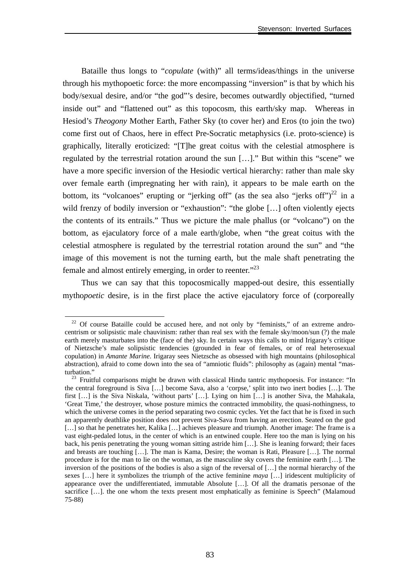Bataille thus longs to "*copulate* (with)" all terms/ideas/things in the universe through his mythopoetic force: the more encompassing "inversion" is that by which his body/sexual desire, and/or "the god"'s desire, becomes outwardly objectified, "turned inside out" and "flattened out" as this topocosm, this earth/sky map. Whereas in Hesiod's *Theogony* Mother Earth, Father Sky (to cover her) and Eros (to join the two) come first out of Chaos, here in effect Pre-Socratic metaphysics (i.e. proto-science) is graphically, literally eroticized: "[T]he great coitus with the celestial atmosphere is regulated by the terrestrial rotation around the sun […]." But within this "scene" we have a more specific inversion of the Hesiodic vertical hierarchy: rather than male sky over female earth (impregnating her with rain), it appears to be male earth on the bottom, its "volcanoes" erupting or "jerking off" (as the sea also "jerks off")<sup>22</sup> in a wild frenzy of bodily inversion or "exhaustion": "the globe [...] often violently ejects the contents of its entrails." Thus we picture the male phallus (or "volcano") on the bottom, as ejaculatory force of a male earth/globe, when "the great coitus with the celestial atmosphere is regulated by the terrestrial rotation around the sun" and "the image of this movement is not the turning earth, but the male shaft penetrating the female and almost entirely emerging, in order to reenter."<sup>23</sup>

Thus we can say that this topocosmically mapped-out desire, this essentially mytho*poetic* desire, is in the first place the active ejaculatory force of (corporeally

 $22$  Of course Bataille could be accused here, and not only by "feminists," of an extreme androcentrism or solipsistic male chauvinism: rather than real sex with the female sky/moon/sun (?) the male earth merely masturbates into the (face of the) sky. In certain ways this calls to mind Irigaray's critique of Nietzsche's male solipsistic tendencies (grounded in fear of females, or of real heterosexual copulation) in *Amante Marine*. Irigaray sees Nietzsche as obsessed with high mountains (philosophical abstraction), afraid to come down into the sea of "amniotic fluids": philosophy as (again) mental "mas-

<sup>&</sup>lt;sup>23</sup> Fruitful comparisons might be drawn with classical Hindu tantric mythopoesis. For instance: "In the central foreground is Siva […] become Sava, also a 'corpse,' split into two inert bodies […]. The first […] is the Siva Niskala, 'without parts' […]. Lying on him […] is another Siva, the Mahakala, 'Great Time,' the destroyer, whose posture mimics the contracted immobility, the quasi-nothingness, to which the universe comes in the period separating two cosmic cycles. Yet the fact that he is fixed in such an apparently deathlike position does not prevent Siva-Sava from having an erection. Seated on the god [...] so that he penetrates her, Kalika [...] achieves pleasure and triumph. Another image: The frame is a vast eight-pedaled lotus, in the center of which is an entwined couple. Here too the man is lying on his back, his penis penetrating the young woman sitting astride him […]. She is leaning forward; their faces and breasts are touching […]. The man is Kama, Desire; the woman is Rati, Pleasure […]. The normal procedure is for the man to lie on the woman, as the masculine sky covers the feminine earth […]. The inversion of the positions of the bodies is also a sign of the reversal of […] the normal hierarchy of the sexes […] here it symbolizes the triumph of the active feminine *maya* […] iridescent multiplicity of appearance over the undifferentiated, immutable Absolute […]. Of all the dramatis personae of the sacrifice […]. the one whom the texts present most emphatically as feminine is Speech" (Malamoud 75-88)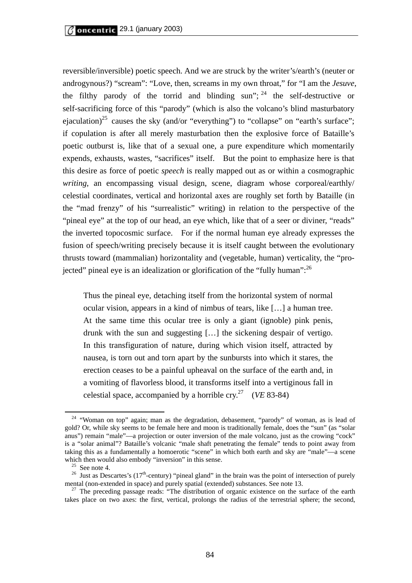reversible/inversible) poetic speech. And we are struck by the writer's/earth's (neuter or androgynous?) "scream": "Love, then, screams in my own throat," for "I am the *Jesuve*, the filthy parody of the torrid and blinding sun";  $^{24}$  the self-destructive or self-sacrificing force of this "parody" (which is also the volcano's blind masturbatory ejaculation)<sup>25</sup> causes the sky (and/or "everything") to "collapse" on "earth's surface"; if copulation is after all merely masturbation then the explosive force of Bataille's poetic outburst is, like that of a sexual one, a pure expenditure which momentarily expends, exhausts, wastes, "sacrifices" itself. But the point to emphasize here is that this desire as force of poetic *speech* is really mapped out as or within a cosmographic *writing*, an encompassing visual design, scene, diagram whose corporeal/earthly/ celestial coordinates, vertical and horizontal axes are roughly set forth by Bataille (in the "mad frenzy" of his "surrealistic" writing) in relation to the perspective of the "pineal eye" at the top of our head, an eye which, like that of a seer or diviner, "reads" the inverted topocosmic surface. For if the normal human eye already expresses the fusion of speech/writing precisely because it is itself caught between the evolutionary thrusts toward (mammalian) horizontality and (vegetable, human) verticality, the "projected" pineal eye is an idealization or glorification of the "fully human":  $^{26}$ 

Thus the pineal eye, detaching itself from the horizontal system of normal ocular vision, appears in a kind of nimbus of tears, like […] a human tree. At the same time this ocular tree is only a giant (ignoble) pink penis, drunk with the sun and suggesting […] the sickening despair of vertigo. In this transfiguration of nature, during which vision itself, attracted by nausea, is torn out and torn apart by the sunbursts into which it stares, the erection ceases to be a painful upheaval on the surface of the earth and, in a vomiting of flavorless blood, it transforms itself into a vertiginous fall in celestial space, accompanied by a horrible cry.<sup>27</sup> (*VE* 83-84)

 $24$  "Woman on top" again; man as the degradation, debasement, "parody" of woman, as is lead of gold? Or, while sky seems to be female here and moon is traditionally female, does the "sun" (as "solar anus") remain "male"—a projection or outer inversion of the male volcano, just as the crowing "cock" is a "solar animal"? Bataille's volcanic "male shaft penetrating the female" tends to point away from taking this as a fundamentally a homoerotic "scene" in which both earth and sky are "male"—a scene which then would also embody "inversion" in this sense.<br><sup>25</sup> See note 4.

<sup>&</sup>lt;sup>26</sup> Just as Descartes's ( $17<sup>th</sup>$ -century) "pineal gland" in the brain was the point of intersection of purely mental (non-extended in space) and purely spatial (extended) substances. See note 13.  $^{27}$  The preceding passage reads: "The distribution of organic existence on the surface of the earth

takes place on two axes: the first, vertical, prolongs the radius of the terrestrial sphere; the second,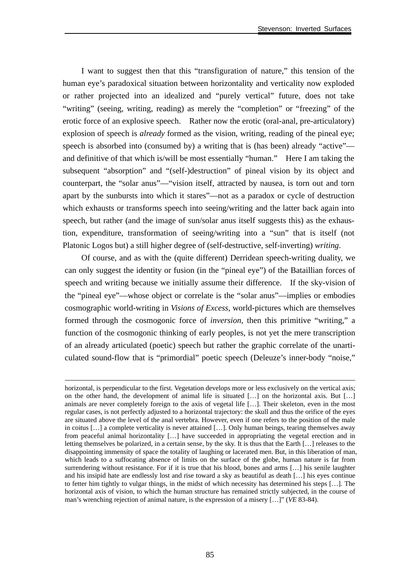I want to suggest then that this "transfiguration of nature," this tension of the human eye's paradoxical situation between horizontality and verticality now exploded or rather projected into an idealized and "purely vertical" future, does not take "writing" (seeing, writing, reading) as merely the "completion" or "freezing" of the erotic force of an explosive speech. Rather now the erotic (oral-anal, pre-articulatory) explosion of speech is *already* formed as the vision, writing, reading of the pineal eye; speech is absorbed into (consumed by) a writing that is (has been) already "active" and definitive of that which is/will be most essentially "human." Here I am taking the subsequent "absorption" and "(self-)destruction" of pineal vision by its object and counterpart, the "solar anus"—"vision itself, attracted by nausea, is torn out and torn apart by the sunbursts into which it stares"—not as a paradox or cycle of destruction which exhausts or transforms speech into seeing/writing and the latter back again into speech, but rather (and the image of sun/solar anus itself suggests this) as the exhaustion, expenditure, transformation of seeing/writing into a "sun" that is itself (not Platonic Logos but) a still higher degree of (self-destructive, self-inverting) *writing*.

Of course, and as with the (quite different) Derridean speech-writing duality, we can only suggest the identity or fusion (in the "pineal eye") of the Bataillian forces of speech and writing because we initially assume their difference. If the sky-vision of the "pineal eye"—whose object or correlate is the "solar anus"—implies or embodies cosmographic world-writing in *Visions of Excess*, world-pictures which are themselves formed through the cosmogonic force of *inversion*, then this primitive "writing," a function of the cosmogonic thinking of early peoples, is not yet the mere transcription of an already articulated (poetic) speech but rather the graphic correlate of the unarticulated sound-flow that is "primordial" poetic speech (Deleuze's inner-body "noise,"

horizontal, is perpendicular to the first. Vegetation develops more or less exclusively on the vertical axis; on the other hand, the development of animal life is situated […] on the horizontal axis. But […] animals are never completely foreign to the axis of vegetal life […]. Their skeleton, even in the most regular cases, is not perfectly adjusted to a horizontal trajectory: the skull and thus the orifice of the eyes are situated above the level of the anal vertebra. However, even if one refers to the position of the male in coitus […] a complete verticality is never attained […]. Only human beings, tearing themselves away from peaceful animal horizontality […] have succeeded in appropriating the vegetal erection and in letting themselves be polarized, in a certain sense, by the sky. It is thus that the Earth […] releases to the disappointing immensity of space the totality of laughing or lacerated men. But, in this liberation of man, which leads to a suffocating absence of limits on the surface of the globe, human nature is far from surrendering without resistance. For if it is true that his blood, bones and arms [...] his senile laughter and his insipid hate are endlessly lost and rise toward a sky as beautiful as death […] his eyes continue to fetter him tightly to vulgar things, in the midst of which necessity has determined his steps […]. The horizontal axis of vision, to which the human structure has remained strictly subjected, in the course of man's wrenching rejection of animal nature, is the expression of a misery […]" (*VE* 83-84).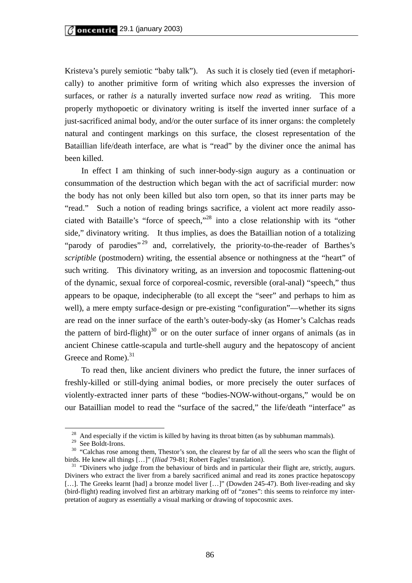Kristeva's purely semiotic "baby talk"). As such it is closely tied (even if metaphorically) to another primitive form of writing which also expresses the inversion of surfaces, or rather *is* a naturally inverted surface now *read* as writing. This more properly mythopoetic or divinatory writing is itself the inverted inner surface of a just-sacrificed animal body, and/or the outer surface of its inner organs: the completely natural and contingent markings on this surface, the closest representation of the Bataillian life/death interface, are what is "read" by the diviner once the animal has been killed.

In effect I am thinking of such inner-body-sign augury as a continuation or consummation of the destruction which began with the act of sacrificial murder: now the body has not only been killed but also torn open, so that its inner parts may be "read." Such a notion of reading brings sacrifice, a violent act more readily associated with Bataille's "force of speech,"28 into a close relationship with its "other side," divinatory writing. It thus implies, as does the Bataillian notion of a totalizing "parody of parodies"<sup>29</sup> and, correlatively, the priority-to-the-reader of Barthes's *scriptible* (postmodern) writing, the essential absence or nothingness at the "heart" of such writing. This divinatory writing, as an inversion and topocosmic flattening-out of the dynamic, sexual force of corporeal-cosmic, reversible (oral-anal) "speech," thus appears to be opaque, indecipherable (to all except the "seer" and perhaps to him as well), a mere empty surface-design or pre-existing "configuration"—whether its signs are read on the inner surface of the earth's outer-body-sky (as Homer's Calchas reads the pattern of bird-flight) $30$  or on the outer surface of inner organs of animals (as in ancient Chinese cattle-scapula and turtle-shell augury and the hepatoscopy of ancient Greece and Rome).<sup>31</sup>

To read then, like ancient diviners who predict the future, the inner surfaces of freshly-killed or still-dying animal bodies, or more precisely the outer surfaces of violently-extracted inner parts of these "bodies-NOW-without-organs," would be on our Bataillian model to read the "surface of the sacred," the life/death "interface" as

 $28$  And especially if the victim is killed by having its throat bitten (as by subhuman mammals).

<sup>29</sup> See Boldt-Irons.

<sup>&</sup>lt;sup>30</sup> "Calchas rose among them, Thestor's son, the clearest by far of all the seers who scan the flight of birds. He knew all things [...]" (*Iliad* 79-81; Robert Fagles' translation).<br><sup>31</sup> "Diviners who judge from the behaviour of birds and in particular their flight are, strictly, augurs.

Diviners who extract the liver from a barely sacrificed animal and read its zones practice hepatoscopy [...]. The Greeks learnt [had] a bronze model liver [...]" (Dowden 245-47). Both liver-reading and sky (bird-flight) reading involved first an arbitrary marking off of "zones": this seems to reinforce my interpretation of augury as essentially a visual marking or drawing of topocosmic axes.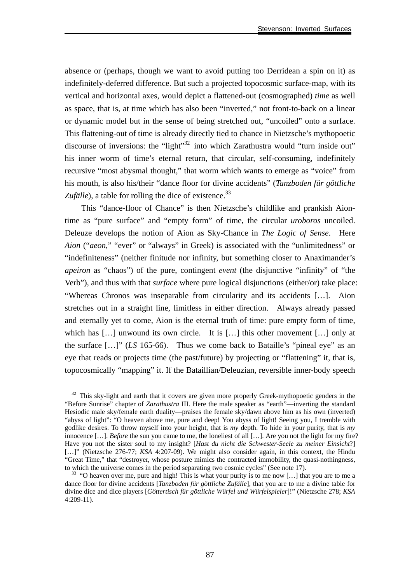absence or (perhaps, though we want to avoid putting too Derridean a spin on it) as indefinitely-deferred difference. But such a projected topocosmic surface-map, with its vertical and horizontal axes, would depict a flattened-out (cosmographed) *time* as well as space, that is, at time which has also been "inverted," not front-to-back on a linear or dynamic model but in the sense of being stretched out, "uncoiled" onto a surface. This flattening-out of time is already directly tied to chance in Nietzsche's mythopoetic discourse of inversions: the "light"<sup>32</sup> into which Zarathustra would "turn inside out" his inner worm of time's eternal return, that circular, self-consuming, indefinitely recursive "most abysmal thought," that worm which wants to emerge as "voice" from his mouth, is also his/their "dance floor for divine accidents" (*Tanzboden für göttliche Zufälle*), a table for rolling the dice of existence.<sup>33</sup>

This "dance-floor of Chance" is then Nietzsche's childlike and prankish Aiontime as "pure surface" and "empty form" of time, the circular *uroboros* uncoiled. Deleuze develops the notion of Aion as Sky-Chance in *The Logic of Sense*. Here *Aion* ("*aeon*," "ever" or "always" in Greek) is associated with the "unlimitedness" or "indefiniteness" (neither finitude nor infinity, but something closer to Anaximander's *apeiron* as "chaos") of the pure, contingent *event* (the disjunctive "infinity" of "the Verb"), and thus with that *surface* where pure logical disjunctions (either/or) take place: "Whereas Chronos was inseparable from circularity and its accidents […]. Aion stretches out in a straight line, limitless in either direction. Always already passed and eternally yet to come, Aion is the eternal truth of time: pure empty form of time, which has [...] unwound its own circle. It is [...] this other movement [...] only at the surface […]" (*LS* 165-66). Thus we come back to Bataille's "pineal eye" as an eye that reads or projects time (the past/future) by projecting or "flattening" it, that is, topocosmically "mapping" it. If the Bataillian/Deleuzian, reversible inner-body speech

<sup>&</sup>lt;sup>32</sup> This sky-light and earth that it covers are given more properly Greek-mythopoetic genders in the "Before Sunrise" chapter of *Zarathustra* III. Here the male speaker as "earth"—inverting the standard Hesiodic male sky/female earth duality—praises the female sky/dawn above him as his own (inverted) "abyss of light": "O heaven above me, pure and deep! You abyss of light! Seeing you, I tremble with godlike desires. To throw myself into your height, that is *my* depth. To hide in your purity, that is *my* innocence […]. *Before* the sun you came to me, the loneliest of all […]. Are you not the light for my fire? Have you not the sister soul to my insight? [*Hast du nicht die Schwester-Seele zu meiner Einsicht*?] [...]" (Nietzsche 276-77; *KSA* 4:207-09). We might also consider again, in this context, the Hindu "Great Time," that "destroyer, whose posture mimics the contracted immobility, the quasi-nothingness, to which the universe comes in the period separating two cosmic cycles" (See note 17).<br><sup>33</sup> "O heaven over me, pure and high! This is what your purity is to me now [...] that you are to me a

dance floor for divine accidents [*Tanzboden für göttliche Zufälle*], that you are to me a divine table for divine dice and dice players [*Göttertisch für göttliche Würfel und Würfelspieler*]!" (Nietzsche 278; *KSA* 4:209-11).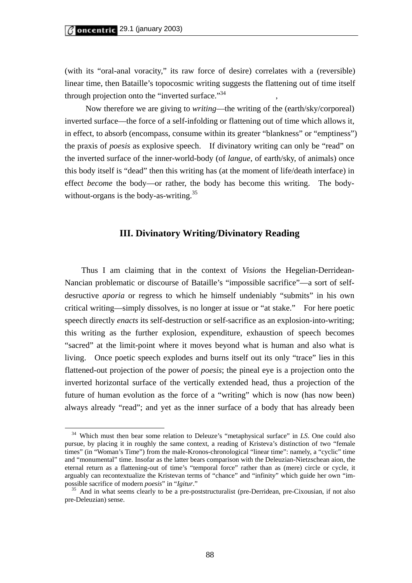(with its "oral-anal voracity," its raw force of desire) correlates with a (reversible) linear time, then Bataille's topocosmic writing suggests the flattening out of time itself through projection onto the "inverted surface."<sup>34</sup>

 Now therefore we are giving to *writing*—the writing of the (earth/sky/corporeal) inverted surface—the force of a self-infolding or flattening out of time which allows it, in effect, to absorb (encompass, consume within its greater "blankness" or "emptiness") the praxis of *poesis* as explosive speech. If divinatory writing can only be "read" on the inverted surface of the inner-world-body (of *langue*, of earth/sky, of animals) once this body itself is "dead" then this writing has (at the moment of life/death interface) in effect *become* the body—or rather, the body has become this writing. The bodywithout-organs is the body-as-writing.<sup>35</sup>

#### **III. Divinatory Writing/Divinatory Reading**

 Thus I am claiming that in the context of *Visions* the Hegelian-Derridean-Nancian problematic or discourse of Bataille's "impossible sacrifice"—a sort of selfdesructive *aporia* or regress to which he himself undeniably "submits" in his own critical writing—simply dissolves, is no longer at issue or "at stake." For here poetic speech directly *enacts* its self-destruction or self-sacrifice as an explosion-into-writing; this writing as the further explosion, expenditure, exhaustion of speech becomes "sacred" at the limit-point where it moves beyond what is human and also what is living. Once poetic speech explodes and burns itself out its only "trace" lies in this flattened-out projection of the power of *poesis*; the pineal eye is a projection onto the inverted horizontal surface of the vertically extended head, thus a projection of the future of human evolution as the force of a "writing" which is now (has now been) always already "read"; and yet as the inner surface of a body that has already been

<sup>&</sup>lt;sup>34</sup> Which must then bear some relation to Deleuze's "metaphysical surface" in *LS*. One could also pursue, by placing it in roughly the same context, a reading of Kristeva's distinction of two "female times" (in "Woman's Time") from the male-Kronos-chronological "linear time": namely, a "cyclic" time and "monumental" time. Insofar as the latter bears comparison with the Deleuzian-Nietzschean aion, the eternal return as a flattening-out of time's "temporal force" rather than as (mere) circle or cycle, it arguably can recontextualize the Kristevan terms of "chance" and "infinity" which guide her own "impossible sacrifice of modern *poesis*" in "*Igitur*." 35 And in what seems clearly to be a pre-poststructuralist (pre-Derridean, pre-Cixousian, if not also

pre-Deleuzian) sense.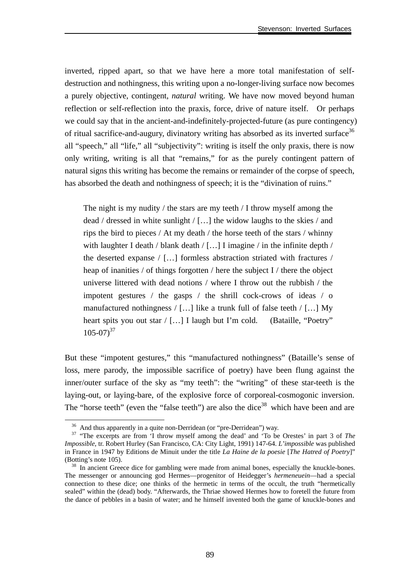inverted, ripped apart, so that we have here a more total manifestation of selfdestruction and nothingness, this writing upon a no-longer-living surface now becomes a purely objective, contingent, *natural* writing. We have now moved beyond human reflection or self-reflection into the praxis, force, drive of nature itself. Or perhaps we could say that in the ancient-and-indefinitely-projected-future (as pure contingency) of ritual sacrifice-and-augury, divinatory writing has absorbed as its inverted surface<sup>36</sup> all "speech," all "life," all "subjectivity": writing is itself the only praxis, there is now only writing, writing is all that "remains," for as the purely contingent pattern of natural signs this writing has become the remains or remainder of the corpse of speech, has absorbed the death and nothingness of speech; it is the "divination of ruins."

The night is my nudity  $/$  the stars are my teeth  $/$  I throw myself among the dead / dressed in white sunlight / […] the widow laughs to the skies / and rips the bird to pieces / At my death / the horse teeth of the stars / whinny with laughter I death / blank death / [...] I imagine / in the infinite depth / the deserted expanse / […] formless abstraction striated with fractures / heap of inanities / of things forgotten / here the subject I / there the object universe littered with dead notions / where I throw out the rubbish / the impotent gestures / the gasps / the shrill cock-crows of ideas / o manufactured nothingness  $/$  [...] like a trunk full of false teeth  $/$  [...] My heart spits you out star / [...] I laugh but I'm cold. (Bataille, "Poetry"  $105-07$ <sup>37</sup>

But these "impotent gestures," this "manufactured nothingness" (Bataille's sense of loss, mere parody, the impossible sacrifice of poetry) have been flung against the inner/outer surface of the sky as "my teeth": the "writing" of these star-teeth is the laying-out, or laying-bare, of the explosive force of corporeal-cosmogonic inversion. The "horse teeth" (even the "false teeth") are also the dice<sup>38</sup> which have been and are

<sup>&</sup>lt;sup>36</sup> And thus apparently in a quite non-Derridean (or "pre-Derridean") way.

<sup>&</sup>lt;sup>37</sup> "The excerpts are from 'I throw myself among the dead' and 'To be Orestes' in part 3 of *The Impossible*, tr. Robert Hurley (San Francisco, CA: City Light, 1991) 147-64. *L'impossible* was published in France in 1947 by Editions de Minuit under the title *La Haine de la poesie* [*The Hatred of Poetry*]" (Botting's note 105). 38 In ancient Greece dice for gambling were made from animal bones, especially the knuckle-bones.

The messenger or announcing god Hermes—progenitor of Heidegger's *hermeneuein*—had a special connection to these dice; one thinks of the hermetic in terms of the occult, the truth "hermetically sealed" within the (dead) body. "Afterwards, the Thriae showed Hermes how to foretell the future from the dance of pebbles in a basin of water; and he himself invented both the game of knuckle-bones and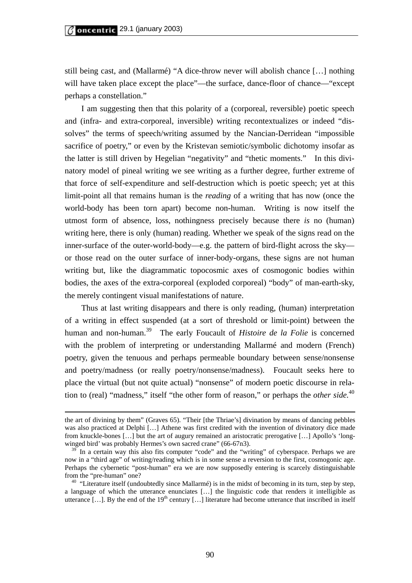still being cast, and (Mallarmé) "A dice-throw never will abolish chance […] nothing will have taken place except the place"—the surface, dance-floor of chance—"except" perhaps a constellation."

I am suggesting then that this polarity of a (corporeal, reversible) poetic speech and (infra- and extra-corporeal, inversible) writing recontextualizes or indeed "dissolves" the terms of speech/writing assumed by the Nancian-Derridean "impossible sacrifice of poetry," or even by the Kristevan semiotic/symbolic dichotomy insofar as the latter is still driven by Hegelian "negativity" and "thetic moments." In this divinatory model of pineal writing we see writing as a further degree, further extreme of that force of self-expenditure and self-destruction which is poetic speech; yet at this limit-point all that remains human is the *reading* of a writing that has now (once the world-body has been torn apart) become non-human. Writing is now itself the utmost form of absence, loss, nothingness precisely because there *is* no (human) writing here, there is only (human) reading. Whether we speak of the signs read on the inner-surface of the outer-world-body—e.g. the pattern of bird-flight across the sky or those read on the outer surface of inner-body-organs, these signs are not human writing but, like the diagrammatic topocosmic axes of cosmogonic bodies within bodies, the axes of the extra-corporeal (exploded corporeal) "body" of man-earth-sky, the merely contingent visual manifestations of nature.

Thus at last writing disappears and there is only reading, (human) interpretation of a writing in effect suspended (at a sort of threshold or limit-point) between the human and non-human.<sup>39</sup> The early Foucault of *Histoire de la Folie* is concerned with the problem of interpreting or understanding Mallarmé and modern (French) poetry, given the tenuous and perhaps permeable boundary between sense/nonsense and poetry/madness (or really poetry/nonsense/madness). Foucault seeks here to place the virtual (but not quite actual) "nonsense" of modern poetic discourse in relation to (real) "madness," itself "the other form of reason," or perhaps the *other side.*<sup>40</sup>

the art of divining by them" (Graves 65). "Their [the Thriae's] divination by means of dancing pebbles was also practiced at Delphi […] Athene was first credited with the invention of divinatory dice made from knuckle-bones […] but the art of augury remained an aristocratic prerogative […] Apollo's 'longwinged bird' was probably Hermes's own sacred crane" (66-67n3).

 $39$  In a certain way this also fits computer "code" and the "writing" of cyberspace. Perhaps we are now in a "third age" of writing/reading which is in some sense a reversion to the first, cosmogonic age. Perhaps the cybernetic "post-human" era we are now supposedly entering is scarcely distinguishable from the "pre-human" one? 40 "Literature itself (undoubtedly since Mallarmé) is in the midst of becoming in its turn, step by step,

a language of which the utterance enunciates […] the linguistic code that renders it intelligible as utterance [...]. By the end of the  $19<sup>th</sup>$  century [...] literature had become utterance that inscribed in itself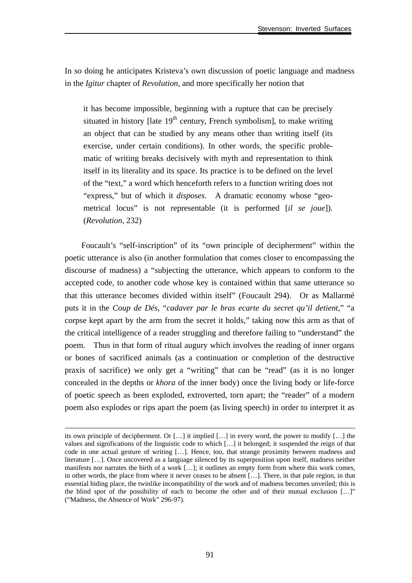In so doing he anticipates Kristeva's own discussion of poetic language and madness in the *Igitur* chapter of *Revolution*, and more specifically her notion that

it has become impossible, beginning with a rupture that can be precisely situated in history [late  $19<sup>th</sup>$  century, French symbolism], to make writing an object that can be studied by any means other than writing itself (its exercise, under certain conditions). In other words, the specific problematic of writing breaks decisively with myth and representation to think itself in its literality and its space. Its practice is to be defined on the level of the "text," a word which henceforth refers to a function writing does not "express," but of which it *disposes*. A dramatic economy whose "geometrical locus" is not representable (it is performed [*il se joue*]). (*Revolution*, 232)

Foucault's "self-inscription" of its "own principle of decipherment" within the poetic utterance is also (in another formulation that comes closer to encompassing the discourse of madness) a "subjecting the utterance, which appears to conform to the accepted code, to another code whose key is contained within that same utterance so that this utterance becomes divided within itself" (Foucault 294). Or as Mallarmé puts it in the *Coup de Dés*, "*cadaver par le bras ecarte du secret qu'il detient*," "a corpse kept apart by the arm from the secret it holds," taking now this arm as that of the critical intelligence of a reader struggling and therefore failing to "understand" the poem. Thus in that form of ritual augury which involves the reading of inner organs or bones of sacrificed animals (as a continuation or completion of the destructive praxis of sacrifice) we only get a "writing" that can be "read" (as it is no longer concealed in the depths or *khora* of the inner body) once the living body or life-force of poetic speech as been exploded, extroverted, torn apart; the "reader" of a modern poem also explodes or rips apart the poem (as living speech) in order to interpret it as

its own principle of decipherment. Or […] it implied […] in every word, the power to modify […] the values and significations of the linguistic code to which […] it belonged; it suspended the reign of that code in one actual gesture of writing […]. Hence, too, that strange proximity between madness and literature […]. Once uncovered as a language silenced by its superposition upon itself, madness neither manifests nor narrates the birth of a work […]; it outlines an empty form from where this work comes, in other words, the place from where it never ceases to be absent […]. There, in that pale region, in that essential hiding place, the twinlike incompatibility of the work and of madness becomes unveiled; this is the blind spot of the possibility of each to become the other and of their mutual exclusion […]" ("Madness, the Absence of Work" 296-97).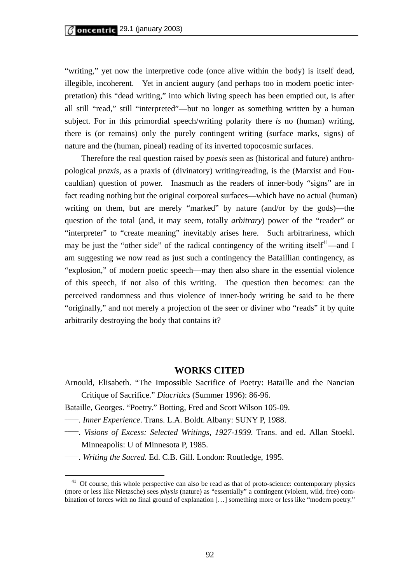"writing," yet now the interpretive code (once alive within the body) is itself dead, illegible, incoherent. Yet in ancient augury (and perhaps too in modern poetic interpretation) this "dead writing," into which living speech has been emptied out, is after all still "read," still "interpreted"—but no longer as something written by a human subject. For in this primordial speech/writing polarity there *is* no (human) writing, there is (or remains) only the purely contingent writing (surface marks, signs) of nature and the (human, pineal) reading of its inverted topocosmic surfaces.

 Therefore the real question raised by *poesis* seen as (historical and future) anthropological *praxis*, as a praxis of (divinatory) writing/reading, is the (Marxist and Foucauldian) question of power. Inasmuch as the readers of inner-body "signs" are in fact reading nothing but the original corporeal surfaces—which have no actual (human) writing on them, but are merely "marked" by nature (and/or by the gods)—the question of the total (and, it may seem, totally *arbitrary*) power of the "reader" or "interpreter" to "create meaning" inevitably arises here. Such arbitrariness, which may be just the "other side" of the radical contingency of the writing itself<sup>41</sup>—and I am suggesting we now read as just such a contingency the Bataillian contingency, as "explosion," of modern poetic speech—may then also share in the essential violence of this speech, if not also of this writing. The question then becomes: can the perceived randomness and thus violence of inner-body writing be said to be there "originally," and not merely a projection of the seer or diviner who "reads" it by quite arbitrarily destroying the body that contains it?

### **WORKS CITED**

- Arnould, Elisabeth. "The Impossible Sacrifice of Poetry: Bataille and the Nancian Critique of Sacrifice." *Diacritics* (Summer 1996): 86-96.
- Bataille, Georges. "Poetry." Botting, Fred and Scott Wilson 105-09.
- \_\_\_\_\_. *Inner Experience*. Trans. L.A. Boldt. Albany: SUNY P, 1988.
- \_\_\_\_\_. *Visions of Excess: Selected Writings, 1927-1939*. Trans. and ed. Allan Stoekl. Minneapolis: U of Minnesota P, 1985.
- \_\_\_\_\_. *Writing the Sacred.* Ed. C.B. Gill. London: Routledge, 1995.

<sup>&</sup>lt;sup>41</sup> Of course, this whole perspective can also be read as that of proto-science: contemporary physics (more or less like Nietzsche) sees *physis* (nature) as "essentially" a contingent (violent, wild, free) combination of forces with no final ground of explanation […] something more or less like "modern poetry."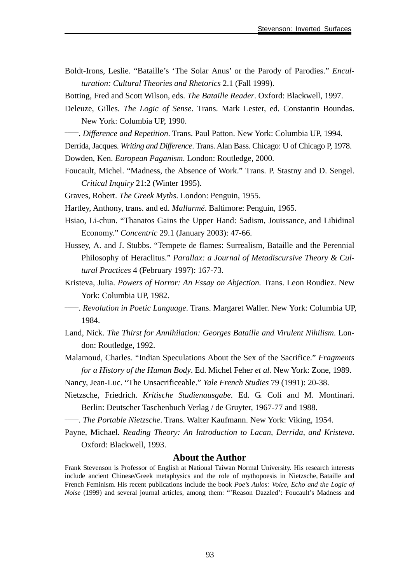- Boldt-Irons, Leslie. "Bataille's 'The Solar Anus' or the Parody of Parodies." *Enculturation: Cultural Theories and Rhetorics* 2.1 (Fall 1999).
- Botting, Fred and Scott Wilson, eds. *The Bataille Reader*. Oxford: Blackwell, 1997.
- Deleuze, Gilles. *The Logic of Sense*. Trans. Mark Lester, ed. Constantin Boundas. New York: Columbia UP, 1990.
- \_\_\_\_\_. *Difference and Repetition*. Trans. Paul Patton. New York: Columbia UP, 1994.
- Derrida, Jacques. *Writing and Difference*. Trans. Alan Bass. Chicago: U of Chicago P, 1978.
- Dowden, Ken. *European Paganism*. London: Routledge, 2000.
- Foucault, Michel. "Madness, the Absence of Work." Trans. P. Stastny and D. Sengel. *Critical Inquiry* 21:2 (Winter 1995).
- Graves, Robert. *The Greek Myths*. London: Penguin, 1955.
- Hartley, Anthony, trans. and ed. *Mallarmé*. Baltimore: Penguin, 1965.
- Hsiao, Li-chun. "Thanatos Gains the Upper Hand: Sadism, Jouissance, and Libidinal Economy." *Concentric* 29.1 (January 2003): 47-66.
- Hussey, A. and J. Stubbs. "Tempete de flames: Surrealism, Bataille and the Perennial Philosophy of Heraclitus." *Parallax: a Journal of Metadiscursive Theory & Cultural Practices* 4 (February 1997): 167-73.
- Kristeva, Julia. *Powers of Horror: An Essay on Abjection.* Trans. Leon Roudiez. New York: Columbia UP, 1982.
- \_\_\_\_\_. *Revolution in Poetic Language*. Trans. Margaret Waller. New York: Columbia UP, 1984.
- Land, Nick. *The Thirst for Annihilation: Georges Bataille and Virulent Nihilism*. London: Routledge, 1992.
- Malamoud, Charles. "Indian Speculations About the Sex of the Sacrifice." *Fragments for a History of the Human Body*. Ed. Michel Feher *et al.* New York: Zone, 1989.
- Nancy, Jean-Luc. "The Unsacrificeable." *Yale French Studies* 79 (1991): 20-38.
- Nietzsche, Friedrich. *Kritische Studienausgabe.* Ed. G. Coli and M. Montinari. Berlin: Deutscher Taschenbuch Verlag / de Gruyter, 1967-77 and 1988.
- \_\_\_\_\_. *The Portable Nietzsche*. Trans. Walter Kaufmann. New York: Viking, 1954.
- Payne, Michael. *Reading Theory: An Introduction to Lacan, Derrida, and Kristeva*. Oxford: Blackwell, 1993.

#### **About the Author**

Frank Stevenson is Professor of English at National Taiwan Normal University. His research interests include ancient Chinese/Greek metaphysics and the role of mythopoesis in Nietzsche, Bataille and French Feminism. His recent publications include the book *Poe's Aulos: Voice, Echo and the Logic of Noise* (1999) and several journal articles, among them: "'Reason Dazzled': Foucault's Madness and